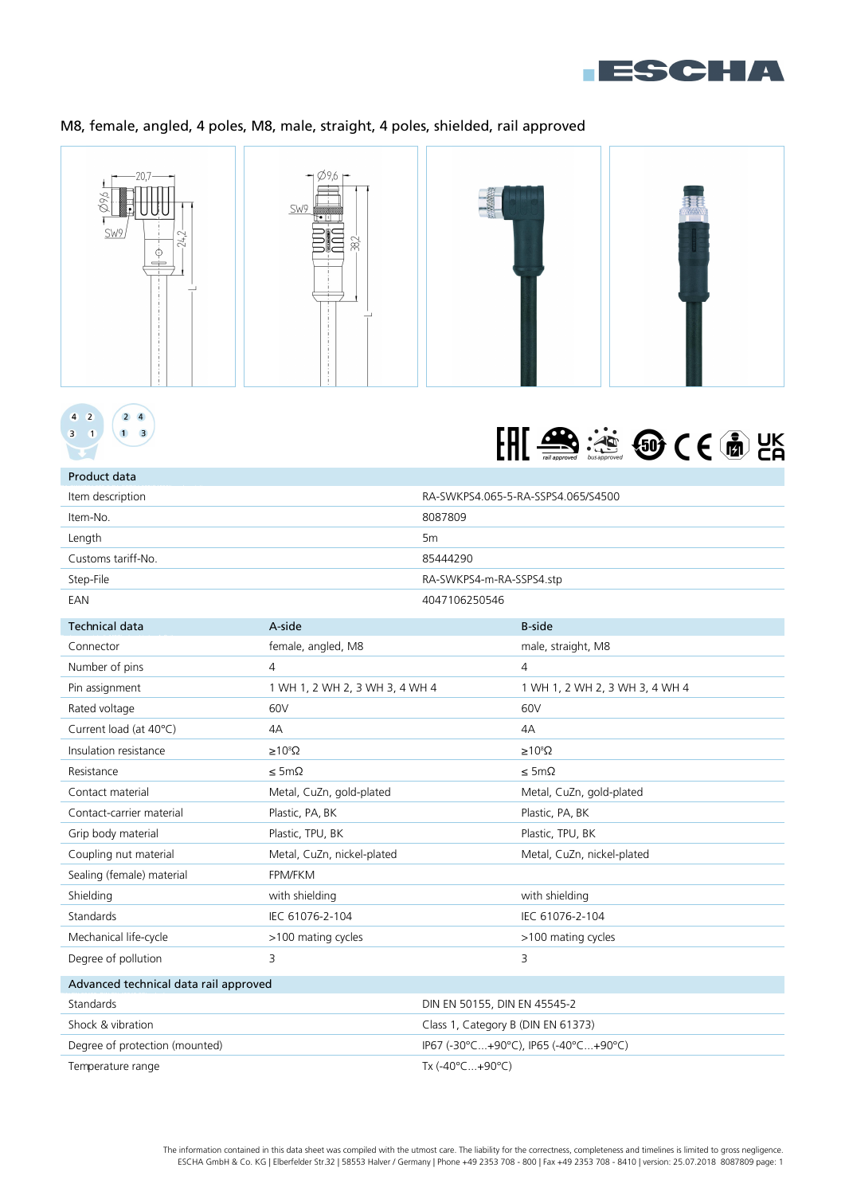

# M8, female, angled, 4 poles, M8, male, straight, 4 poles, shielded, rail approved







| Product data       |                                    |
|--------------------|------------------------------------|
| Item description   | RA-SWKPS4.065-5-RA-SSPS4.065/S4500 |
| Item-No.           | 8087809                            |
| Length             | 5 <sub>m</sub>                     |
| Customs tariff-No. | 85444290                           |
| Step-File          | RA-SWKPS4-m-RA-SSPS4.stp           |
| EAN                | 4047106250546                      |

| <b>Technical data</b>                 | A-side                         |                                    | <b>B-side</b>                        |
|---------------------------------------|--------------------------------|------------------------------------|--------------------------------------|
| Connector                             | female, angled, M8             |                                    | male, straight, M8                   |
| Number of pins                        | 4                              |                                    | 4                                    |
| Pin assignment                        | 1 WH 1, 2 WH 2, 3 WH 3, 4 WH 4 |                                    | 1 WH 1, 2 WH 2, 3 WH 3, 4 WH 4       |
| Rated voltage                         | 60V                            |                                    | 60V                                  |
| Current load (at 40°C)                | 4A                             |                                    | 4A                                   |
| Insulation resistance                 | $\geq 10^8 \Omega$             |                                    | $\geq 10^8 \Omega$                   |
| Resistance                            | $\leq$ 5m $\Omega$             |                                    | $\leq$ 5m $\Omega$                   |
| Contact material                      | Metal, CuZn, gold-plated       |                                    | Metal, CuZn, gold-plated             |
| Contact-carrier material              | Plastic, PA, BK                |                                    | Plastic, PA, BK                      |
| Grip body material                    | Plastic, TPU, BK               |                                    | Plastic, TPU, BK                     |
| Coupling nut material                 | Metal, CuZn, nickel-plated     |                                    | Metal, CuZn, nickel-plated           |
| Sealing (female) material             | FPM/FKM                        |                                    |                                      |
| Shielding                             | with shielding                 |                                    | with shielding                       |
| Standards                             | IEC 61076-2-104                |                                    | IEC 61076-2-104                      |
| Mechanical life-cycle                 | >100 mating cycles             |                                    | >100 mating cycles                   |
| Degree of pollution                   | 3                              |                                    | 3                                    |
| Advanced technical data rail approved |                                |                                    |                                      |
| Standards                             |                                | DIN EN 50155, DIN EN 45545-2       |                                      |
| Shock & vibration                     |                                | Class 1, Category B (DIN EN 61373) |                                      |
| Degree of protection (mounted)        |                                |                                    | IP67 (-30°C+90°C), IP65 (-40°C+90°C) |
| Temperature range                     |                                | Tx (-40°C+90°C)                    |                                      |